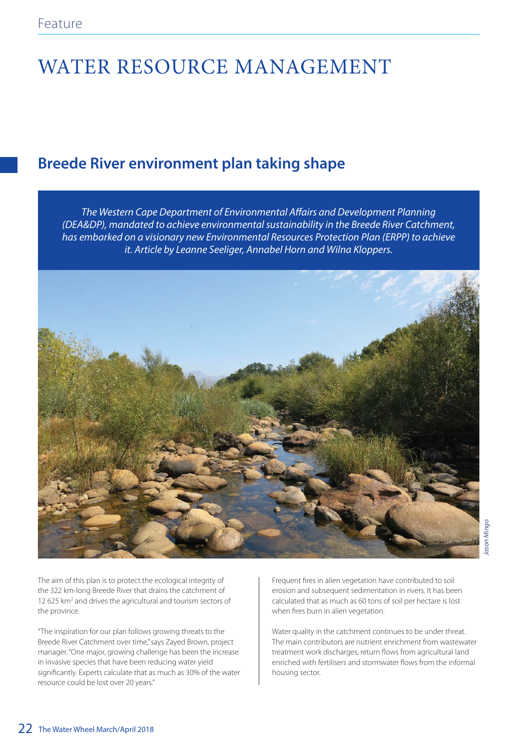## WATER RESOURCE MANAGEMENT

## **Breede River environment plan taking shape**

The Western Cape Department of Environmental Affairs and Development Planning (DEA&DP), mandated to achieve environmental sustainability in the Breede River Catchment, has embarked on a visionary new Environmental Resources Protection Plan (ERPP) to achieve it. Article by Leanne Seeliger, Annabel Horn and Wilna Kloppers.



The aim of this plan is to protect the ecological integrity of the 322 km-long Breede River that drains the catchment of 12 625 km<sup>2</sup> and drives the agricultural and tourism sectors of the province.

"The inspiration for our plan follows growing threats to the Breede River Catchment over time," says Zayed Brown, project manager. "One major, growing challenge has been the increase in invasive species that have been reducing water yield significantly. Experts calculate that as much as 30% of the water resource could be lost over 20 years."

Frequent fires in alien vegetation have contributed to soil erosion and subsequent sedimentation in rivers. It has been calculated that as much as 60 tons of soil per hectare is lost when fires burn in alien vegetation.

Water quality in the catchment continues to be under threat. The main contributors are nutrient enrichment from wastewater treatment work discharges, return flows from agricultural land enriched with fertilisers and stormwater flows from the informal housing sector.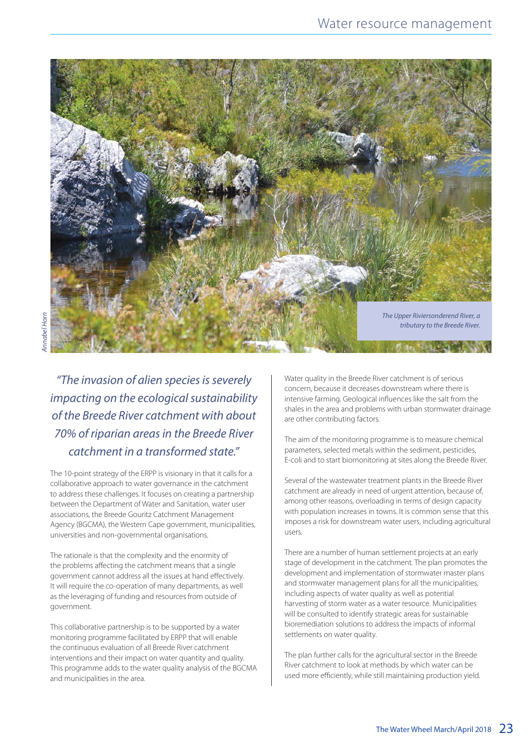

"The invasion of alien species is severely impacting on the ecological sustainability of the Breede River catchment with about 70% of riparian areas in the Breede River catchment in a transformed state."

The 10-point strategy of the ERPP is visionary in that it calls for a collaborative approach to water governance in the catchment to address these challenges. It focuses on creating a partnership between the Department of Water and Sanitation, water user associations, the Breede Gouritz Catchment Management Agency (BGCMA), the Western Cape government, municipalities, universities and non-governmental organisations.

The rationale is that the complexity and the enormity of the problems affecting the catchment means that a single government cannot address all the issues at hand effectively. It will require the co-operation of many departments, as well as the leveraging of funding and resources from outside of government.

This collaborative partnership is to be supported by a water monitoring programme facilitated by ERPP that will enable the continuous evaluation of all Breede River catchment interventions and their impact on water quantity and quality. This programme adds to the water quality analysis of the BGCMA and municipalities in the area.

Water quality in the Breede River catchment is of serious concern, because it decreases downstream where there is intensive farming. Geological influences like the salt from the shales in the area and problems with urban stormwater drainage are other contributing factors.

The aim of the monitoring programme is to measure chemical parameters, selected metals within the sediment, pesticides, E-coli and to start biomonitoring at sites along the Breede River.

Several of the wastewater treatment plants in the Breede River catchment are already in need of urgent attention, because of, among other reasons, overloading in terms of design capacity with population increases in towns. It is common sense that this imposes a risk for downstream water users, including agricultural users.

There are a number of human settlement projects at an early stage of development in the catchment. The plan promotes the development and implementation of stormwater master plans and stormwater management plans for all the municipalities, including aspects of water quality as well as potential harvesting of storm water as a water resource. Municipalities will be consulted to identify strategic areas for sustainable bioremediation solutions to address the impacts of informal settlements on water quality.

The plan further calls for the agricultural sector in the Breede River catchment to look at methods by which water can be used more efficiently, while still maintaining production yield.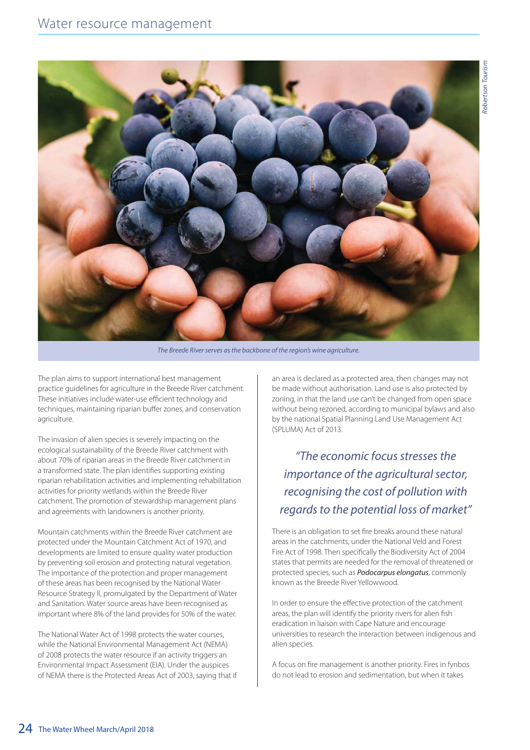

The Breede River serves as the backbone of the region's wine agriculture.

The plan aims to support international best management practice guidelines for agriculture in the Breede River catchment. These initiatives include water-use efficient technology and techniques, maintaining riparian buffer zones, and conservation agriculture.

The invasion of alien species is severely impacting on the ecological sustainability of the Breede River catchment with about 70% of riparian areas in the Breede River catchment in a transformed state. The plan identifies supporting existing riparian rehabilitation activities and implementing rehabilitation activities for priority wetlands within the Breede River catchment. The promotion of stewardship management plans and agreements with landowners is another priority.

Mountain catchments within the Breede River catchment are protected under the Mountain Catchment Act of 1970, and developments are limited to ensure quality water production by preventing soil erosion and protecting natural vegetation. The importance of the protection and proper management of these areas has been recognised by the National Water Resource Strategy II, promulgated by the Department of Water and Sanitation. Water source areas have been recognised as important where 8% of the land provides for 50% of the water.

The National Water Act of 1998 protects the water courses, while the National Environmental Management Act (NEMA) of 2008 protects the water resource if an activity triggers an Environmental Impact Assessment (EIA). Under the auspices of NEMA there is the Protected Areas Act of 2003, saying that if an area is declared as a protected area, then changes may not be made without authorisation. Land use is also protected by zoning, in that the land use can't be changed from open space without being rezoned, according to municipal bylaws and also by the national Spatial Planning Land Use Management Act (SPLUMA) Act of 2013.

## "The economic focus stresses the importance of the agricultural sector, recognising the cost of pollution with regards to the potential loss of market"

There is an obligation to set fire breaks around these natural areas in the catchments, under the National Veld and Forest Fire Act of 1998. Then specifically the Biodiversity Act of 2004 states that permits are needed for the removal of threatened or protected species, such as Podocarpus elongatus, commonly known as the Breede River Yellowwood.

In order to ensure the effective protection of the catchment areas, the plan will identify the priority rivers for alien fish eradication in liaison with Cape Nature and encourage universities to research the interaction between indigenous and alien species.

A focus on fire management is another priority. Fires in fynbos do not lead to erosion and sedimentation, but when it takes